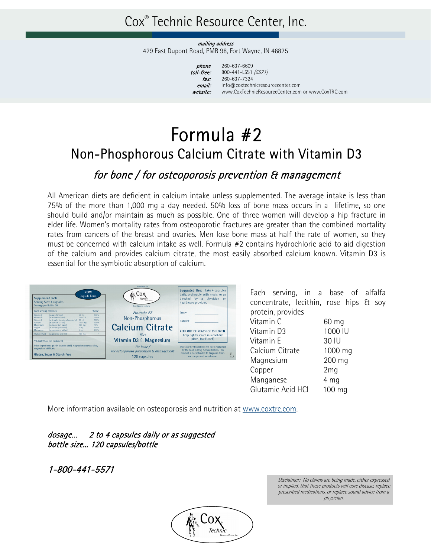## Cox® Technic Resource Center, Inc.

mailing address 429 East Dupont Road, PMB 98, Fort Wayne, IN 46825

| phone      |
|------------|
| toll-free: |
| fax:       |
| email:     |
| website:   |

260-637-6609 800-441-L5S1 (5571) 260-637-7324 info@coxtechnicresourcecenter.com www.CoxTechnicResourceCenter.com or www.CoxTRC.com

# Formula #2 Non-Phosphorous Calcium Citrate with Vitamin D3

### for bone / for osteoporosis prevention & management

All American diets are deficient in calcium intake unless supplemented. The average intake is less than 75% of the more than 1,000 mg a day needed. 50% loss of bone mass occurs in a lifetime, so one should build and/or maintain as much as possible. One of three women will develop a hip fracture in elder life. Women's mortality rates from osteoporotic fractures are greater than the combined mortality rates from cancers of the breast and ovaries. Men lose bone mass at half the rate of women, so they must be concerned with calcium intake as well. Formula #2 contains hydrochloric acid to aid digestion of the calcium and provides calcium citrate, the most easily absorbed calcium known. Vitamin D3 is essential for the symbiotic absorption of calcium.



Each serving, in a base of alfalfa concentrate, lecithin, rose hips & soy protein, provides

| Vitamin C         | 60 mg           |
|-------------------|-----------------|
| Vitamin D3        | 1000 IU         |
| Vitamin E         | 30 IU           |
| Calcium Citrate   | 1000 mg         |
| Magnesium         | 200 mg          |
| Copper            | 2 <sub>mq</sub> |
| Manganese         | 4 mg            |
| Glutamic Acid HCI | 100 mg          |
|                   |                 |

More information available on osteoporosis and nutrition at www.coxtrc.com.

### dosage… 2 to 4 capsules daily or as suggested bottle size... 120 capsules/bottle

1-800-441-5571



Disclaimer: No claims are being made, either expressed or implied, that these products will cure disease, replace prescribed medications, or replace sound advice from a physician.